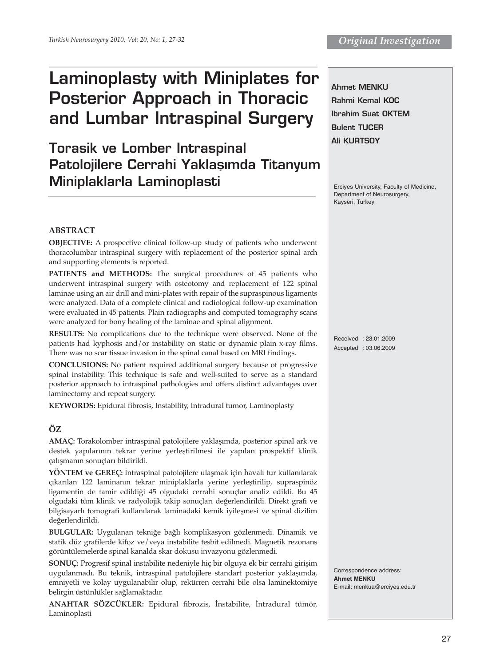# **Laminoplasty with Miniplates for Posterior Approach in Thoracic and Lumbar Intraspinal Surgery**

**Torasik ve Lomber Intraspinal Patolojilere Cerrahi Yaklaşımda Titanyum Miniplaklarla Laminoplasti**

**Ahmet MENKU Rahmi Kemal KOC Ibrahim Suat OKTEM Bulent TUCER Ali KURTSOY**

Erciyes University, Faculty of Medicine, Department of Neurosurgery, Kayseri, Turkey

## **ABSTRACT**

**OBJECTIVE:** A prospective clinical follow-up study of patients who underwent thoracolumbar intraspinal surgery with replacement of the posterior spinal arch and supporting elements is reported.

PATIENTS and METHODS: The surgical procedures of 45 patients who underwent intraspinal surgery with osteotomy and replacement of 122 spinal laminae using an air drill and mini-plates with repair of the supraspinous ligaments were analyzed. Data of a complete clinical and radiological follow-up examination were evaluated in 45 patients. Plain radiographs and computed tomography scans were analyzed for bony healing of the laminae and spinal alignment.

**RESULTS:** No complications due to the technique were observed. None of the patients had kyphosis and/or instability on static or dynamic plain x-ray films. There was no scar tissue invasion in the spinal canal based on MRI findings.

**CONCLUSIONS:** No patient required additional surgery because of progressive spinal instability. This technique is safe and well-suited to serve as a standard posterior approach to intraspinal pathologies and offers distinct advantages over laminectomy and repeat surgery.

**KEYWORDS:** Epidural fibrosis, Instability, Intradural tumor, Laminoplasty

## **ÖZ**

**AMAÇ:** Torakolomber intraspinal patolojilere yaklaşımda, posterior spinal ark ve destek yapılarının tekrar yerine yerleştirilmesi ile yapılan prospektif klinik çalışmanın sonuçları bildirildi.

**YÖNTEM ve GEREÇ:** İntraspinal patolojilere ulaşmak için havalı tur kullanılarak çıkarılan 122 laminanın tekrar miniplaklarla yerine yerleştirilip, supraspinöz ligamentin de tamir edildiği 45 olgudaki cerrahi sonuçlar analiz edildi. Bu 45 olgudaki tüm klinik ve radyolojik takip sonuçları değerlendirildi. Direkt grafi ve bilgisayarlı tomografi kullanılarak laminadaki kemik iyileşmesi ve spinal dizilim değerlendirildi.

**BULGULAR:** Uygulanan tekniğe bağlı komplikasyon gözlenmedi. Dinamik ve statik düz grafilerde kifoz ve/veya instabilite tesbit edilmedi. Magnetik rezonans görüntülemelerde spinal kanalda skar dokusu invazyonu gözlenmedi.

**SONUÇ:** Progresif spinal instabilite nedeniyle hiç bir olguya ek bir cerrahi girişim uygulanmadı. Bu teknik, intraspinal patolojilere standart posterior yaklaşımda, emniyetli ve kolay uygulanabilir olup, rekürren cerrahi bile olsa laminektomiye belirgin üstünlükler sağlamaktadır.

**ANAHTAR SÖZCÜKLER:** Epidural fibrozis, İnstabilite, İntradural tümör, Laminoplasti

Received : 23.01.2009 Accepted : 03.06.2009

Correspondence address: **Ahmet MENKU** E-mail: menkua@erciyes.edu.tr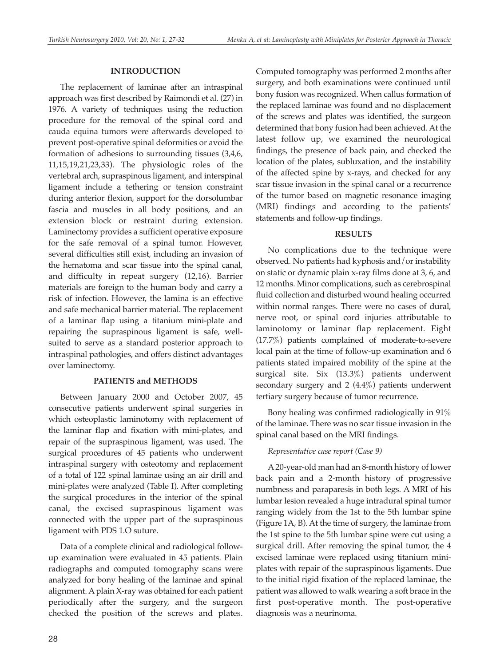### **INTRODUCTION**

The replacement of laminae after an intraspinal approach was first described by Raimondi et al. (27) in 1976. A variety of techniques using the reduction procedure for the removal of the spinal cord and cauda equina tumors were afterwards developed to prevent post-operative spinal deformities or avoid the formation of adhesions to surrounding tissues (3,4,6, 11,15,19,21,23,33). The physiologic roles of the vertebral arch, supraspinous ligament, and interspinal ligament include a tethering or tension constraint during anterior flexion, support for the dorsolumbar fascia and muscles in all body positions, and an extension block or restraint during extension. Laminectomy provides a sufficient operative exposure for the safe removal of a spinal tumor. However, several difficulties still exist, including an invasion of the hematoma and scar tissue into the spinal canal, and difficulty in repeat surgery (12,16). Barrier materials are foreign to the human body and carry a risk of infection. However, the lamina is an effective and safe mechanical barrier material. The replacement of a laminar flap using a titanium mini-plate and repairing the supraspinous ligament is safe, wellsuited to serve as a standard posterior approach to intraspinal pathologies, and offers distinct advantages over laminectomy.

### **PATIENTS and METHODS**

Between January 2000 and October 2007, 45 consecutive patients underwent spinal surgeries in which osteoplastic laminotomy with replacement of the laminar flap and fixation with mini-plates, and repair of the supraspinous ligament, was used. The surgical procedures of 45 patients who underwent intraspinal surgery with osteotomy and replacement of a total of 122 spinal laminae using an air drill and mini-plates were analyzed (Table I). After completing the surgical procedures in the interior of the spinal canal, the excised supraspinous ligament was connected with the upper part of the supraspinous ligament with PDS 1.O suture.

Data of a complete clinical and radiological followup examination were evaluated in 45 patients. Plain radiographs and computed tomography scans were analyzed for bony healing of the laminae and spinal alignment. A plain X-ray was obtained for each patient periodically after the surgery, and the surgeon checked the position of the screws and plates. Computed tomography was performed 2 months after surgery, and both examinations were continued until bony fusion was recognized. When callus formation of the replaced laminae was found and no displacement of the screws and plates was identified, the surgeon determined that bony fusion had been achieved. At the latest follow up, we examined the neurological findings, the presence of back pain, and checked the location of the plates, subluxation, and the instability of the affected spine by x-rays, and checked for any scar tissue invasion in the spinal canal or a recurrence of the tumor based on magnetic resonance imaging (MRI) findings and according to the patients' statements and follow-up findings.

#### **RESULTS**

No complications due to the technique were observed. No patients had kyphosis and/or instability on static or dynamic plain x-ray films done at 3, 6, and 12 months. Minor complications, such as cerebrospinal fluid collection and disturbed wound healing occurred within normal ranges. There were no cases of dural, nerve root, or spinal cord injuries attributable to laminotomy or laminar flap replacement. Eight (17.7%) patients complained of moderate-to-severe local pain at the time of follow-up examination and 6 patients stated impaired mobility of the spine at the surgical site. Six (13.3%) patients underwent secondary surgery and 2 (4.4%) patients underwent tertiary surgery because of tumor recurrence.

Bony healing was confirmed radiologically in 91% of the laminae. There was no scar tissue invasion in the spinal canal based on the MRI findings.

### *Representative case report (Case 9)*

A 20-year-old man had an 8-month history of lower back pain and a 2-month history of progressive numbness and paraparesis in both legs. A MRI of his lumbar lesion revealed a huge intradural spinal tumor ranging widely from the 1st to the 5th lumbar spine (Figure 1A, B). At the time of surgery, the laminae from the 1st spine to the 5th lumbar spine were cut using a surgical drill. After removing the spinal tumor, the 4 excised laminae were replaced using titanium miniplates with repair of the supraspinous ligaments. Due to the initial rigid fixation of the replaced laminae, the patient was allowed to walk wearing a soft brace in the first post-operative month. The post-operative diagnosis was a neurinoma.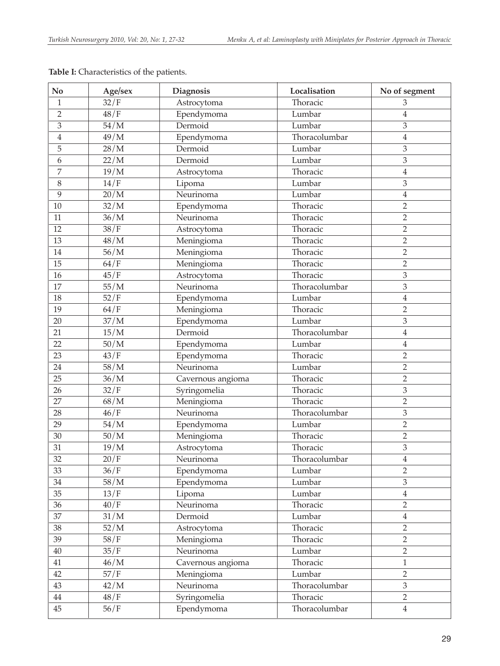| No              | Age/sex           | Diagnosis         | Localisation  | No of segment           |
|-----------------|-------------------|-------------------|---------------|-------------------------|
| $1\,$           | 32/F              | Astrocytoma       | Thoracic      | 3                       |
| $\overline{2}$  | 48/F              | Ependymoma        | Lumbar        | $\overline{4}$          |
| 3               | 54/M              | Dermoid           | Lumbar        | 3                       |
| $\overline{4}$  | 49/M              | Ependymoma        | Thoracolumbar | $\overline{4}$          |
| 5               | 28/M              | Dermoid           | Lumbar        | 3                       |
| 6               | 22/M              | Dermoid           | Lumbar        | 3                       |
| 7               | 19/M              | Astrocytoma       | Thoracic      | $\overline{4}$          |
| 8               | 14/F              | Lipoma            | Lumbar        | 3                       |
| $\overline{9}$  | 20/M              | Neurinoma         | Lumbar        | $\bf 4$                 |
| 10              | 32/M              | Ependymoma        | Thoracic      | $\overline{2}$          |
| 11              | 36/M              | Neurinoma         | Thoracic      | $\overline{2}$          |
| 12              | $\overline{38/F}$ | Astrocytoma       | Thoracic      | $\overline{2}$          |
| 13              | 48/M              | Meningioma        | Thoracic      | $\overline{2}$          |
| 14              | 56/M              | Meningioma        | Thoracic      | $\overline{2}$          |
| 15              | 64/F              | Meningioma        | Thoracic      | $\overline{2}$          |
| 16              | 45/F              | Astrocytoma       | Thoracic      | $\mathfrak{Z}$          |
| 17              | 55/M              | Neurinoma         | Thoracolumbar | 3                       |
| 18              | 52/F              | Ependymoma        | Lumbar        | $\overline{4}$          |
| 19              | 64/F              | Meningioma        | Thoracic      | $\overline{2}$          |
| 20              | 37/M              | Ependymoma        | Lumbar        | 3                       |
| 21              | 15/M              | Dermoid           | Thoracolumbar | $\overline{4}$          |
| 22              | 50/M              | Ependymoma        | Lumbar        | $\overline{4}$          |
| 23              | 43/F              | Ependymoma        | Thoracic      | $\overline{2}$          |
| $\overline{24}$ | 58/M              | Neurinoma         | Lumbar        | $\overline{2}$          |
| 25              | 36/M              | Cavernous angioma | Thoracic      | $\overline{2}$          |
| 26              | 32/F              | Syringomelia      | Thoracic      | 3                       |
| 27              | 68/M              | Meningioma        | Thoracic      | $\overline{2}$          |
| 28              | 46/F              | Neurinoma         | Thoracolumbar | 3                       |
| 29              | 54/M              | Ependymoma        | Lumbar        | $\overline{2}$          |
| 30              | 50/M              | Meningioma        | Thoracic      | $\overline{2}$          |
| 31              | 19/M              | Astrocytoma       | Thoracic      | $\overline{3}$          |
| $\overline{32}$ | 20/F              | Neurinoma         | Thoracolumbar | $\overline{\mathbf{4}}$ |
| 33              | 36/F              | Ependymoma        | Lumbar        | $\overline{2}$          |
| 34              | 58/M              | Ependymoma        | Lumbar        | $\overline{3}$          |
| 35              | 13/F              | Lipoma            | Lumbar        | $\overline{4}$          |
| 36              | 40/F              | Neurinoma         | Thoracic      | $\overline{2}$          |
| 37              | 31/M              | Dermoid           | Lumbar        | $\boldsymbol{4}$        |
| 38              | 52/M              | Astrocytoma       | Thoracic      | $\overline{2}$          |
| 39              | 58/F              | Meningioma        | Thoracic      | $\overline{2}$          |
| 40              | 35/F              | Neurinoma         | Lumbar        | $\overline{2}$          |
| 41              | 46/M              | Cavernous angioma | Thoracic      | $\mathbf{1}$            |
| 42              | 57/F              | Meningioma        | Lumbar        | $\overline{2}$          |
| 43              | 42/M              | Neurinoma         | Thoracolumbar | $\overline{3}$          |
| 44              | 48/F              | Syringomelia      | Thoracic      | $\overline{2}$          |
| 45              | 56/F              | Ependymoma        | Thoracolumbar | $\sqrt{4}$              |

**Table I:** Characteristics of the patients.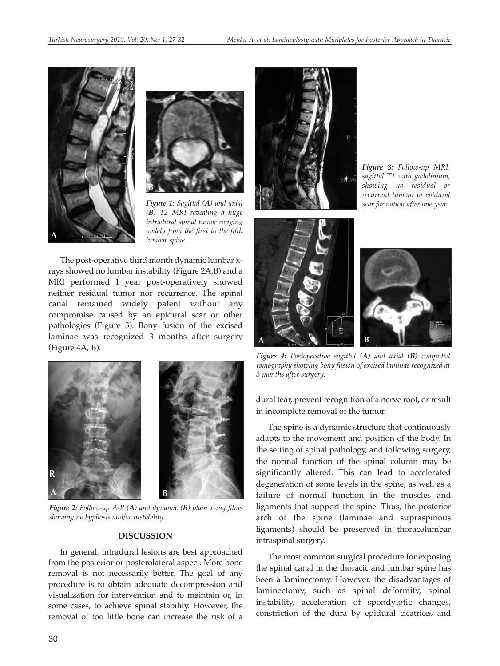



*Figure 1: Sagittal (A) and axial (B) T2 MRI revealing a huge intradural spinal tumor ranging widely from the first to the fifth*  $l$ *umbar spine.* 

The post-operative third month dynamic lumbar xrays showed no lumbar instability (Figure 2A,B) and a MRI performed 1 year post-operatively showed neither residual tumor nor recurrence. The spinal canal remained widely patent without any compromise caused by an epidural scar or other pathologies (Figure 3). Bony fusion of the excised laminae was recognized 3 months after surgery (Figure 4A, B).



*Figure 2: Follow-up A-P (A) and dynamic (B) plain x-ray films showing no kyphosis and/or instability.*

#### **DISCUSSION**

In general, intradural lesions are best approached from the posterior or posterolateral aspect. More bone removal is not necessarily better. The goal of any procedure is to obtain adequate decompression and visualization for intervention and to maintain or, in some cases, to achieve spinal stability. However, the removal of too little bone can increase the risk of a



*Figure 3: Follow-up MRI, sagittal T1 with gadolinium, showing no residual or recurrent tumour or epidural scar formation after one year.*



*Figure 4: Postoperative sagittal (A) and axial (B) computed tomography showing bony fusion of excised laminae recognized at 3 months after surgery.*

dural tear, prevent recognition of a nerve root, or result in incomplete removal of the tumor.

The spine is a dynamic structure that continuously adapts to the movement and position of the body. In the setting of spinal pathology, and following surgery, the normal function of the spinal column may be significantly altered. This can lead to accelerated degeneration of some levels in the spine, as well as a failure of normal function in the muscles and ligaments that support the spine. Thus, the posterior arch of the spine (laminae and supraspinous ligaments) should be preserved in thoracolumbar intraspinal surgery.

The most common surgical procedure for exposing the spinal canal in the thoracic and lumbar spine has been a laminectomy. However, the disadvantages of laminectomy, such as spinal deformity, spinal instability, acceleration of spondylotic changes, constriction of the dura by epidural cicatrices and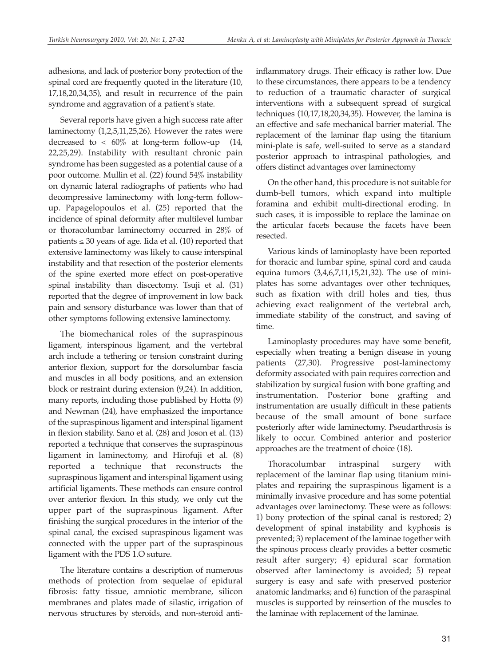adhesions, and lack of posterior bony protection of the spinal cord are frequently quoted in the literature (10, 17,18,20,34,35), and result in recurrence of the pain syndrome and aggravation of a patient's state.

Several reports have given a high success rate after laminectomy (1,2,5,11,25,26). However the rates were decreased to  $< 60\%$  at long-term follow-up (14, 22,25,29). Instability with resultant chronic pain syndrome has been suggested as a potential cause of a poor outcome. Mullin et al. (22) found 54% instability on dynamic lateral radiographs of patients who had decompressive laminectomy with long-term followup. Papagelopoulos et al. (25) reported that the incidence of spinal deformity after multilevel lumbar or thoracolumbar laminectomy occurred in 28% of patients  $\leq 30$  years of age. Iida et al. (10) reported that extensive laminectomy was likely to cause interspinal instability and that resection of the posterior elements of the spine exerted more effect on post-operative spinal instability than discectomy. Tsuji et al. (31) reported that the degree of improvement in low back pain and sensory disturbance was lower than that of other symptoms following extensive laminectomy.

The biomechanical roles of the supraspinous ligament, interspinous ligament, and the vertebral arch include a tethering or tension constraint during anterior flexion, support for the dorsolumbar fascia and muscles in all body positions, and an extension block or restraint during extension (9,24). In addition, many reports, including those published by Hotta (9) and Newman (24), have emphasized the importance of the supraspinous ligament and interspinal ligament in flexion stability. Sano et al. (28) and Joson et al. (13) reported a technique that conserves the supraspinous ligament in laminectomy, and Hirofuji et al. (8) reported a technique that reconstructs the supraspinous ligament and interspinal ligament using artificial ligaments. These methods can ensure control over anterior flexion. In this study, we only cut the upper part of the supraspinous ligament. After finishing the surgical procedures in the interior of the spinal canal, the excised supraspinous ligament was connected with the upper part of the supraspinous ligament with the PDS 1.O suture.

The literature contains a description of numerous methods of protection from sequelae of epidural fibrosis: fatty tissue, amniotic membrane, silicon membranes and plates made of silastic, irrigation of nervous structures by steroids, and non-steroid antiinflammatory drugs. Their efficacy is rather low. Due to these circumstances, there appears to be a tendency to reduction of a traumatic character of surgical interventions with a subsequent spread of surgical techniques (10,17,18,20,34,35). However, the lamina is an effective and safe mechanical barrier material. The replacement of the laminar flap using the titanium mini-plate is safe, well-suited to serve as a standard posterior approach to intraspinal pathologies, and offers distinct advantages over laminectomy

On the other hand, this procedure is not suitable for dumb-bell tumors, which expand into multiple foramina and exhibit multi-directional eroding. In such cases, it is impossible to replace the laminae on the articular facets because the facets have been resected.

Various kinds of laminoplasty have been reported for thoracic and lumbar spine, spinal cord and cauda equina tumors (3,4,6,7,11,15,21,32). The use of miniplates has some advantages over other techniques, such as fixation with drill holes and ties, thus achieving exact realignment of the vertebral arch, immediate stability of the construct, and saving of time.

Laminoplasty procedures may have some benefit, especially when treating a benign disease in young patients (27,30). Progressive post-laminectomy deformity associated with pain requires correction and stabilization by surgical fusion with bone grafting and instrumentation. Posterior bone grafting and instrumentation are usually difficult in these patients because of the small amount of bone surface posteriorly after wide laminectomy. Pseudarthrosis is likely to occur. Combined anterior and posterior approaches are the treatment of choice (18).

Thoracolumbar intraspinal surgery with replacement of the laminar flap using titanium miniplates and repairing the supraspinous ligament is a minimally invasive procedure and has some potential advantages over laminectomy. These were as follows: 1) bony protection of the spinal canal is restored; 2) development of spinal instability and kyphosis is prevented; 3) replacement of the laminae together with the spinous process clearly provides a better cosmetic result after surgery; 4) epidural scar formation observed after laminectomy is avoided; 5) repeat surgery is easy and safe with preserved posterior anatomic landmarks; and 6) function of the paraspinal muscles is supported by reinsertion of the muscles to the laminae with replacement of the laminae.